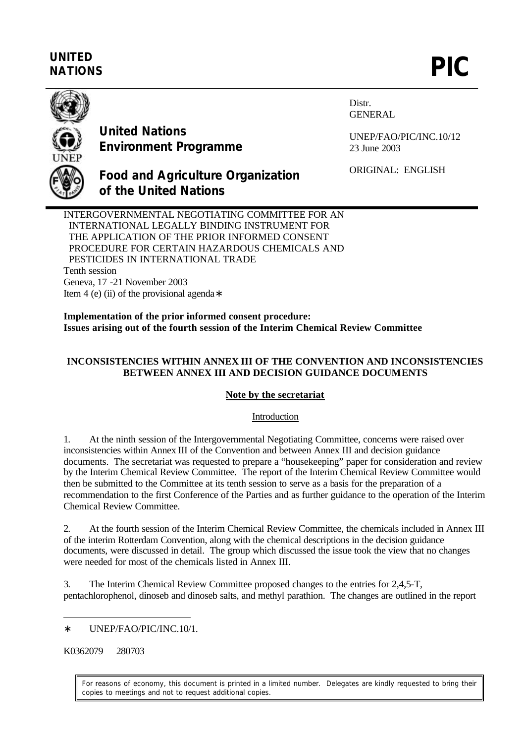# **UNITED** UNITED<br>NATIONS **PIC**



**United Nations Environment Programme** Distr. GENERAL

UNEP/FAO/PIC/INC.10/12 23 June 2003

ORIGINAL: ENGLISH

## **Food and Agriculture Organization of the United Nations**

INTERGOVERNMENTAL NEGOTIATING COMMITTEE FOR AN INTERNATIONAL LEGALLY BINDING INSTRUMENT FOR THE APPLICATION OF THE PRIOR INFORMED CONSENT PROCEDURE FOR CERTAIN HAZARDOUS CHEMICALS AND PESTICIDES IN INTERNATIONAL TRADE Tenth session Geneva, 17 -21 November 2003 Item 4 (e) (ii) of the provisional agenda<sup>∗</sup>

**Implementation of the prior informed consent procedure: Issues arising out of the fourth session of the Interim Chemical Review Committee**

## **INCONSISTENCIES WITHIN ANNEX III OF THE CONVENTION AND INCONSISTENCIES BETWEEN ANNEX III AND DECISION GUIDANCE DOCUMENTS**

## **Note by the secretariat**

## Introduction

1. At the ninth session of the Intergovernmental Negotiating Committee, concerns were raised over inconsistencies within Annex III of the Convention and between Annex III and decision guidance documents. The secretariat was requested to prepare a "housekeeping" paper for consideration and review by the Interim Chemical Review Committee. The report of the Interim Chemical Review Committee would then be submitted to the Committee at its tenth session to serve as a basis for the preparation of a recommendation to the first Conference of the Parties and as further guidance to the operation of the Interim Chemical Review Committee.

2. At the fourth session of the Interim Chemical Review Committee, the chemicals included in Annex III of the interim Rotterdam Convention, along with the chemical descriptions in the decision guidance documents, were discussed in detail. The group which discussed the issue took the view that no changes were needed for most of the chemicals listed in Annex III.

3. The Interim Chemical Review Committee proposed changes to the entries for 2,4,5-T, pentachlorophenol, dinoseb and dinoseb salts, and methyl parathion. The changes are outlined in the report

K0362079 280703

 $\overline{a}$ 

For reasons of economy, this document is printed in a limited number. Delegates are kindly requested to bring their copies to meetings and not to request additional copies.

<sup>∗</sup> UNEP/FAO/PIC/INC.10/1.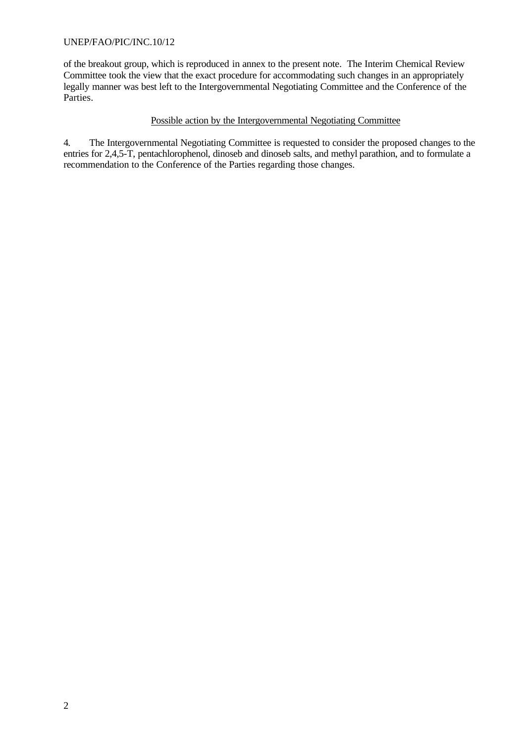## UNEP/FAO/PIC/INC.10/12

of the breakout group, which is reproduced in annex to the present note. The Interim Chemical Review Committee took the view that the exact procedure for accommodating such changes in an appropriately legally manner was best left to the Intergovernmental Negotiating Committee and the Conference of the Parties.

## Possible action by the Intergovernmental Negotiating Committee

4. The Intergovernmental Negotiating Committee is requested to consider the proposed changes to the entries for 2,4,5-T, pentachlorophenol, dinoseb and dinoseb salts, and methyl parathion, and to formulate a recommendation to the Conference of the Parties regarding those changes.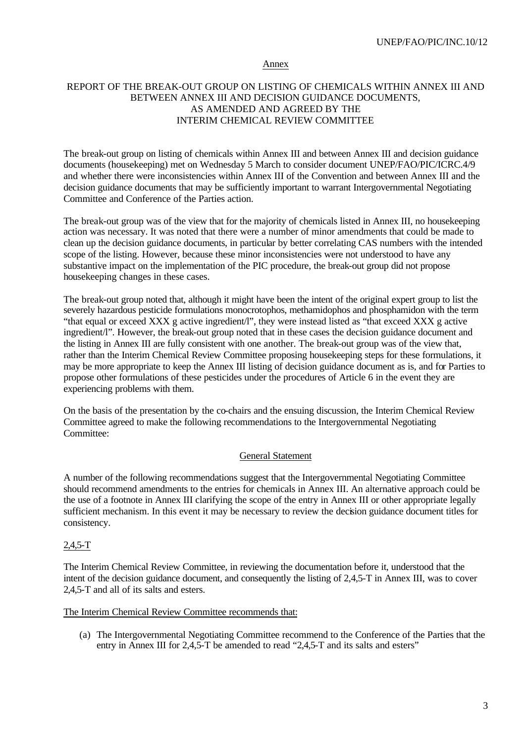#### Annex

## REPORT OF THE BREAK-OUT GROUP ON LISTING OF CHEMICALS WITHIN ANNEX III AND BETWEEN ANNEX III AND DECISION GUIDANCE DOCUMENTS, AS AMENDED AND AGREED BY THE INTERIM CHEMICAL REVIEW COMMITTEE

The break-out group on listing of chemicals within Annex III and between Annex III and decision guidance documents (housekeeping) met on Wednesday 5 March to consider document UNEP/FAO/PIC/ICRC.4/9 and whether there were inconsistencies within Annex III of the Convention and between Annex III and the decision guidance documents that may be sufficiently important to warrant Intergovernmental Negotiating Committee and Conference of the Parties action.

The break-out group was of the view that for the majority of chemicals listed in Annex III, no housekeeping action was necessary. It was noted that there were a number of minor amendments that could be made to clean up the decision guidance documents, in particular by better correlating CAS numbers with the intended scope of the listing. However, because these minor inconsistencies were not understood to have any substantive impact on the implementation of the PIC procedure, the break-out group did not propose housekeeping changes in these cases.

The break-out group noted that, although it might have been the intent of the original expert group to list the severely hazardous pesticide formulations monocrotophos, methamidophos and phosphamidon with the term "that equal or exceed XXX g active ingredient/l", they were instead listed as "that exceed XXX g active ingredient/l". However, the break-out group noted that in these cases the decision guidance document and the listing in Annex III are fully consistent with one another. The break-out group was of the view that, rather than the Interim Chemical Review Committee proposing housekeeping steps for these formulations, it may be more appropriate to keep the Annex III listing of decision guidance document as is, and for Parties to propose other formulations of these pesticides under the procedures of Article 6 in the event they are experiencing problems with them.

On the basis of the presentation by the co-chairs and the ensuing discussion, the Interim Chemical Review Committee agreed to make the following recommendations to the Intergovernmental Negotiating Committee:

#### General Statement

A number of the following recommendations suggest that the Intergovernmental Negotiating Committee should recommend amendments to the entries for chemicals in Annex III. An alternative approach could be the use of a footnote in Annex III clarifying the scope of the entry in Annex III or other appropriate legally sufficient mechanism. In this event it may be necessary to review the decision guidance document titles for consistency.

#### 2,4,5-T

The Interim Chemical Review Committee, in reviewing the documentation before it, understood that the intent of the decision guidance document, and consequently the listing of 2,4,5-T in Annex III, was to cover 2,4,5-T and all of its salts and esters.

## The Interim Chemical Review Committee recommends that:

(a) The Intergovernmental Negotiating Committee recommend to the Conference of the Parties that the entry in Annex III for 2,4,5-T be amended to read "2,4,5-T and its salts and esters"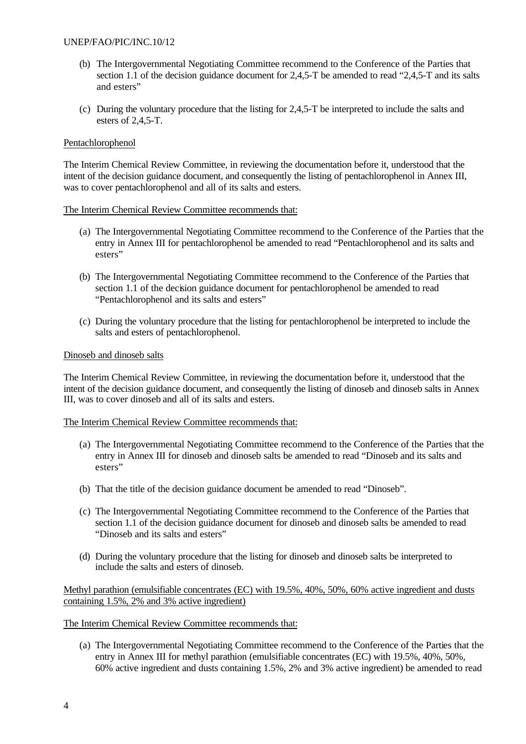#### UNEP/FAO/PIC/INC.10/12

- (b) The Intergovernmental Negotiating Committee recommend to the Conference of the Parties that section 1.1 of the decision guidance document for 2,4,5-T be amended to read "2,4,5-T and its salts and esters"
- (c) During the voluntary procedure that the listing for 2,4,5-T be interpreted to include the salts and esters of 2,4,5-T.

#### Pentachlorophenol

The Interim Chemical Review Committee, in reviewing the documentation before it, understood that the intent of the decision guidance document, and consequently the listing of pentachlorophenol in Annex III, was to cover pentachlorophenol and all of its salts and esters.

#### The Interim Chemical Review Committee recommends that:

- (a) The Intergovernmental Negotiating Committee recommend to the Conference of the Parties that the entry in Annex III for pentachlorophenol be amended to read "Pentachlorophenol and its salts and esters"
- (b) The Intergovernmental Negotiating Committee recommend to the Conference of the Parties that section 1.1 of the decision guidance document for pentachlorophenol be amended to read "Pentachlorophenol and its salts and esters"
- (c) During the voluntary procedure that the listing for pentachlorophenol be interpreted to include the salts and esters of pentachlorophenol.

#### Dinoseb and dinoseb salts

The Interim Chemical Review Committee, in reviewing the documentation before it, understood that the intent of the decision guidance document, and consequently the listing of dinoseb and dinoseb salts in Annex III, was to cover dinoseb and all of its salts and esters.

#### The Interim Chemical Review Committee recommends that:

- (a) The Intergovernmental Negotiating Committee recommend to the Conference of the Parties that the entry in Annex III for dinoseb and dinoseb salts be amended to read "Dinoseb and its salts and esters"
- (b) That the title of the decision guidance document be amended to read "Dinoseb".
- (c) The Intergovernmental Negotiating Committee recommend to the Conference of the Parties that section 1.1 of the decision guidance document for dinoseb and dinoseb salts be amended to read "Dinoseb and its salts and esters"
- (d) During the voluntary procedure that the listing for dinoseb and dinoseb salts be interpreted to include the salts and esters of dinoseb.

Methyl parathion (emulsifiable concentrates (EC) with 19.5%, 40%, 50%, 60% active ingredient and dusts containing 1.5%, 2% and 3% active ingredient)

#### The Interim Chemical Review Committee recommends that:

(a) The Intergovernmental Negotiating Committee recommend to the Conference of the Parties that the entry in Annex III for methyl parathion (emulsifiable concentrates (EC) with 19.5%, 40%, 50%, 60% active ingredient and dusts containing 1.5%, 2% and 3% active ingredient) be amended to read